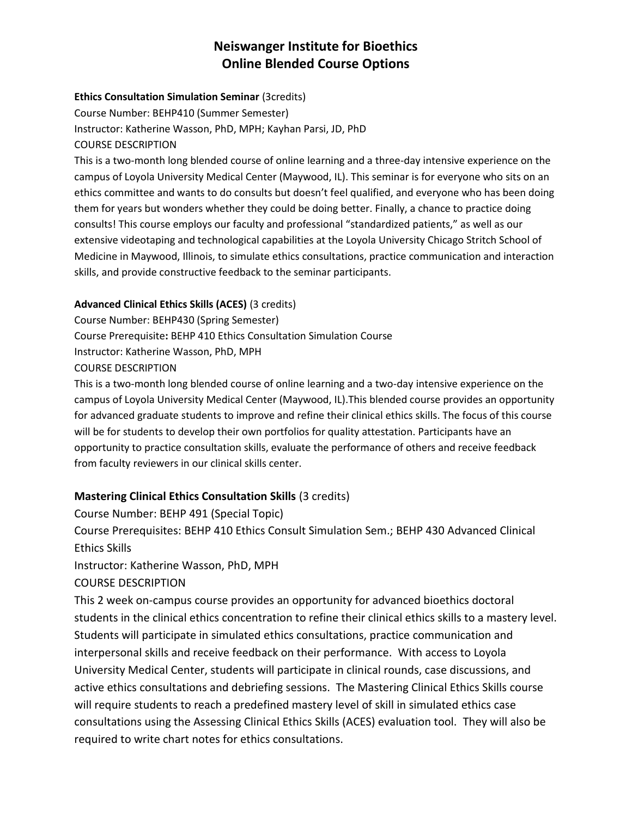# **Neiswanger Institute for Bioethics Online Blended Course Options**

### **Ethics Consultation Simulation Seminar** (3credits)

Course Number: BEHP410 (Summer Semester) Instructor: Katherine Wasson, PhD, MPH; Kayhan Parsi, JD, PhD COURSE DESCRIPTION

This is a two-month long blended course of online learning and a three-day intensive experience on the campus of Loyola University Medical Center (Maywood, IL). This seminar is for everyone who sits on an ethics committee and wants to do consults but doesn't feel qualified, and everyone who has been doing them for years but wonders whether they could be doing better. Finally, a chance to practice doing consults! This course employs our faculty and professional "standardized patients," as well as our extensive videotaping and technological capabilities at the Loyola University Chicago Stritch School of Medicine in Maywood, Illinois, to simulate ethics consultations, practice communication and interaction skills, and provide constructive feedback to the seminar participants.

### **Advanced Clinical Ethics Skills (ACES)** (3 credits)

Course Number: BEHP430 (Spring Semester) Course Prerequisite**:** BEHP 410 Ethics Consultation Simulation Course Instructor: Katherine Wasson, PhD, MPH COURSE DESCRIPTION

This is a two-month long blended course of online learning and a two-day intensive experience on the campus of Loyola University Medical Center (Maywood, IL).This blended course provides an opportunity for advanced graduate students to improve and refine their clinical ethics skills. The focus of this course will be for students to develop their own portfolios for quality attestation. Participants have an opportunity to practice consultation skills, evaluate the performance of others and receive feedback from faculty reviewers in our clinical skills center.

# **Mastering Clinical Ethics Consultation Skills** (3 credits)

Course Number: BEHP 491 (Special Topic) Course Prerequisites: BEHP 410 Ethics Consult Simulation Sem.; BEHP 430 Advanced Clinical Ethics Skills

Instructor: Katherine Wasson, PhD, MPH

# COURSE DESCRIPTION

This 2 week on-campus course provides an opportunity for advanced bioethics doctoral students in the clinical ethics concentration to refine their clinical ethics skills to a mastery level. Students will participate in simulated ethics consultations, practice communication and interpersonal skills and receive feedback on their performance. With access to Loyola University Medical Center, students will participate in clinical rounds, case discussions, and active ethics consultations and debriefing sessions. The Mastering Clinical Ethics Skills course will require students to reach a predefined mastery level of skill in simulated ethics case consultations using the Assessing Clinical Ethics Skills (ACES) evaluation tool. They will also be required to write chart notes for ethics consultations.